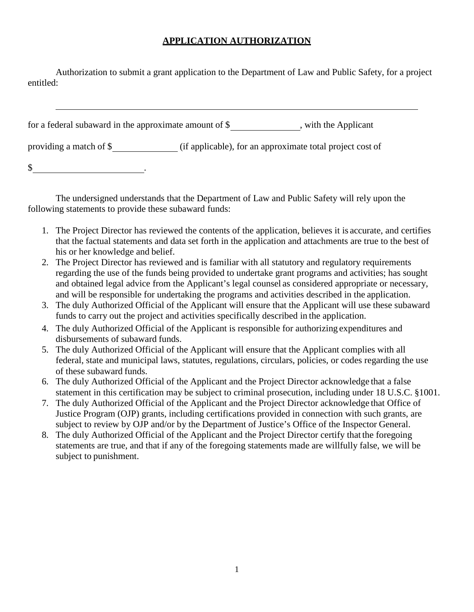## **APPLICATION AUTHORIZATION**

Authorization to submit a grant application to the Department of Law and Public Safety, for a project entitled:

| for a federal subaward in the approximate amount of $\$ | , with the Applicant                                      |
|---------------------------------------------------------|-----------------------------------------------------------|
| providing a match of \$                                 | (if applicable), for an approximate total project cost of |
| $\mathcal{S}$                                           |                                                           |

The undersigned understands that the Department of Law and Public Safety will rely upon the following statements to provide these subaward funds:

- 1. The Project Director has reviewed the contents of the application, believes it is accurate, and certifies that the factual statements and data set forth in the application and attachments are true to the best of his or her knowledge and belief.
- 2. The Project Director has reviewed and is familiar with all statutory and regulatory requirements regarding the use of the funds being provided to undertake grant programs and activities; has sought and obtained legal advice from the Applicant's legal counsel as considered appropriate or necessary, and will be responsible for undertaking the programs and activities described in the application.
- 3. The duly Authorized Official of the Applicant will ensure that the Applicant will use these subaward funds to carry out the project and activities specifically described in the application.
- 4. The duly Authorized Official of the Applicant is responsible for authorizing expenditures and disbursements of subaward funds.
- 5. The duly Authorized Official of the Applicant will ensure that the Applicant complies with all federal, state and municipal laws, statutes, regulations, circulars, policies, or codes regarding the use of these subaward funds.
- 6. The duly Authorized Official of the Applicant and the Project Director acknowledge that a false statement in this certification may be subject to criminal prosecution, including under 18 U.S.C. §1001.
- 7. The duly Authorized Official of the Applicant and the Project Director acknowledge that Office of Justice Program (OJP) grants, including certifications provided in connection with such grants, are subject to review by OJP and/or by the Department of Justice's Office of the Inspector General.
- 8. The duly Authorized Official of the Applicant and the Project Director certify that the foregoing statements are true, and that if any of the foregoing statements made are willfully false, we will be subject to punishment.